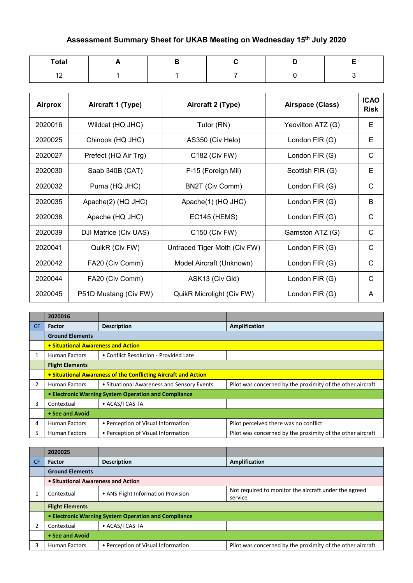## **Assessment Summary Sheet for UKAB Meeting on Wednesday 15th July 2020**

| <b>Total</b> |  |  |  |
|--------------|--|--|--|
| ៱<br>$\sim$  |  |  |  |

| <b>Airprox</b> | Aircraft 1 (Type)     | Aircraft 2 (Type)            | Airspace (Class)  | <b>ICAO</b><br><b>Risk</b> |
|----------------|-----------------------|------------------------------|-------------------|----------------------------|
| 2020016        | Wildcat (HQ JHC)      | Tutor (RN)                   | Yeovilton ATZ (G) | E                          |
| 2020025        | Chinook (HQ JHC)      | AS350 (Civ Helo)             | London FIR (G)    | E                          |
| 2020027        | Prefect (HQ Air Trg)  | C182 (Civ FW)                | London FIR (G)    | C                          |
| 2020030        | Saab 340B (CAT)       | F-15 (Foreign Mil)           | Scottish FIR (G)  | E                          |
| 2020032        | Puma (HQ JHC)         | BN2T (Civ Comm)              | London FIR (G)    | C                          |
| 2020035        | Apache(2) (HQ JHC)    | Apache(1) (HQ JHC)           | London FIR (G)    | B                          |
| 2020038        | Apache (HQ JHC)       | <b>EC145 (HEMS)</b>          | London FIR (G)    | C                          |
| 2020039        | DJI Matrice (Civ UAS) | C150 (Civ FW)                | Gamston ATZ (G)   | C                          |
| 2020041        | QuikR (Civ FW)        | Untraced Tiger Moth (Civ FW) | London FIR $(G)$  | C                          |
| 2020042        | FA20 (Civ Comm)       | Model Aircraft (Unknown)     | London FIR (G)    | C                          |
| 2020044        | FA20 (Civ Comm)       | ASK13 (Civ Gld)              | London FIR (G)    | C                          |
| 2020045        | P51D Mustang (Civ FW) | QuikR Microlight (Civ FW)    | London FIR (G)    | A                          |

|     | 2020016                            |                                                                |                                                            |
|-----|------------------------------------|----------------------------------------------------------------|------------------------------------------------------------|
| CF. | <b>Factor</b>                      | <b>Description</b>                                             | <b>Amplification</b>                                       |
|     | <b>Ground Elements</b>             |                                                                |                                                            |
|     | • Situational Awareness and Action |                                                                |                                                            |
|     | <b>Human Factors</b>               | • Conflict Resolution - Provided Late                          |                                                            |
|     | <b>Flight Elements</b>             |                                                                |                                                            |
|     |                                    | • Situational Awareness of the Conflicting Aircraft and Action |                                                            |
| 2   | <b>Human Factors</b>               | • Situational Awareness and Sensory Events                     | Pilot was concerned by the proximity of the other aircraft |
|     |                                    | • Electronic Warning System Operation and Compliance           |                                                            |
| 3   | Contextual                         | • ACAS/TCAS TA                                                 |                                                            |
|     | • See and Avoid                    |                                                                |                                                            |
| 4   | <b>Human Factors</b>               | • Perception of Visual Information                             | Pilot perceived there was no conflict                      |
| 5.  | <b>Human Factors</b>               | • Perception of Visual Information                             | Pilot was concerned by the proximity of the other aircraft |

|           | 2020025                            |                                                      |                                                                  |
|-----------|------------------------------------|------------------------------------------------------|------------------------------------------------------------------|
| <b>CF</b> | <b>Factor</b>                      | <b>Description</b>                                   | <b>Amplification</b>                                             |
|           | <b>Ground Elements</b>             |                                                      |                                                                  |
|           | • Situational Awareness and Action |                                                      |                                                                  |
|           | Contextual                         | • ANS Flight Information Provision                   | Not required to monitor the aircraft under the agreed<br>service |
|           | <b>Flight Elements</b>             |                                                      |                                                                  |
|           |                                    | • Electronic Warning System Operation and Compliance |                                                                  |
| າ         | Contextual                         | • ACAS/TCAS TA                                       |                                                                  |
|           | • See and Avoid                    |                                                      |                                                                  |
| 3         | <b>Human Factors</b>               | • Perception of Visual Information                   | Pilot was concerned by the proximity of the other aircraft       |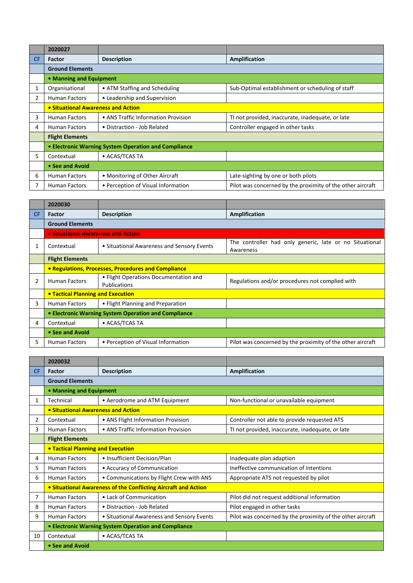|     | 2020027                            |                                                      |                                                            |
|-----|------------------------------------|------------------------------------------------------|------------------------------------------------------------|
| CF. | <b>Factor</b>                      | <b>Description</b>                                   | Amplification                                              |
|     | <b>Ground Elements</b>             |                                                      |                                                            |
|     | • Manning and Equipment            |                                                      |                                                            |
|     | Organisational                     | • ATM Staffing and Scheduling                        | Sub-Optimal establishment or scheduling of staff           |
| 2   | <b>Human Factors</b>               | • Leadership and Supervision                         |                                                            |
|     | • Situational Awareness and Action |                                                      |                                                            |
| 3   | <b>Human Factors</b>               | • ANS Traffic Information Provision                  | TI not provided, inaccurate, inadequate, or late           |
| 4   | <b>Human Factors</b>               | • Distraction - Job Related                          | Controller engaged in other tasks                          |
|     | <b>Flight Elements</b>             |                                                      |                                                            |
|     |                                    | • Electronic Warning System Operation and Compliance |                                                            |
| 5.  | Contextual                         | • ACAS/TCAS TA                                       |                                                            |
|     | • See and Avoid                    |                                                      |                                                            |
| 6   | <b>Human Factors</b>               | • Monitoring of Other Aircraft                       | Late-sighting by one or both pilots                        |
|     | <b>Human Factors</b>               | • Perception of Visual Information                   | Pilot was concerned by the proximity of the other aircraft |

|     | 2020030                                              |                                                       |                                                                      |
|-----|------------------------------------------------------|-------------------------------------------------------|----------------------------------------------------------------------|
| CF. | <b>Factor</b>                                        | <b>Description</b>                                    | Amplification                                                        |
|     | <b>Ground Elements</b>                               |                                                       |                                                                      |
|     | • Situational Awareness and Action                   |                                                       |                                                                      |
|     | Contextual                                           | • Situational Awareness and Sensory Events            | The controller had only generic, late or no Situational<br>Awareness |
|     | <b>Flight Elements</b>                               |                                                       |                                                                      |
|     | • Regulations, Processes, Procedures and Compliance  |                                                       |                                                                      |
|     | <b>Human Factors</b>                                 | • Flight Operations Documentation and<br>Publications | Regulations and/or procedures not complied with                      |
|     | <b>• Tactical Planning and Execution</b>             |                                                       |                                                                      |
| 3   | <b>Human Factors</b>                                 | • Flight Planning and Preparation                     |                                                                      |
|     | • Electronic Warning System Operation and Compliance |                                                       |                                                                      |
| 4   | Contextual                                           | • ACAS/TCAS TA                                        |                                                                      |
|     | • See and Avoid                                      |                                                       |                                                                      |
| 5   | <b>Human Factors</b>                                 | • Perception of Visual Information                    | Pilot was concerned by the proximity of the other aircraft           |

|           | 2020032                                              |                                                                |                                                            |
|-----------|------------------------------------------------------|----------------------------------------------------------------|------------------------------------------------------------|
| <b>CF</b> | Factor                                               | <b>Description</b>                                             | <b>Amplification</b>                                       |
|           | <b>Ground Elements</b>                               |                                                                |                                                            |
|           | • Manning and Equipment                              |                                                                |                                                            |
| 1         | Technical                                            | • Aerodrome and ATM Equipment                                  | Non-functional or unavailable equipment                    |
|           | • Situational Awareness and Action                   |                                                                |                                                            |
| 2         | Contextual                                           | • ANS Flight Information Provision                             | Controller not able to provide requested ATS               |
| 3         | <b>Human Factors</b>                                 | • ANS Traffic Information Provision                            | TI not provided, inaccurate, inadequate, or late           |
|           | <b>Flight Elements</b>                               |                                                                |                                                            |
|           | <b>. Tactical Planning and Execution</b>             |                                                                |                                                            |
| 4         | <b>Human Factors</b>                                 | • Insufficient Decision/Plan                                   | Inadequate plan adaption                                   |
| 5.        | <b>Human Factors</b>                                 | • Accuracy of Communication                                    | Ineffective communication of intentions                    |
| 6         | <b>Human Factors</b>                                 | • Communications by Flight Crew with ANS                       | Appropriate ATS not requested by pilot                     |
|           |                                                      | • Situational Awareness of the Conflicting Aircraft and Action |                                                            |
| 7         | <b>Human Factors</b>                                 | • Lack of Communication                                        | Pilot did not request additional information               |
| 8         | <b>Human Factors</b>                                 | • Distraction - Job Related                                    | Pilot engaged in other tasks                               |
| 9         | <b>Human Factors</b>                                 | • Situational Awareness and Sensory Events                     | Pilot was concerned by the proximity of the other aircraft |
|           | • Electronic Warning System Operation and Compliance |                                                                |                                                            |
| 10        | Contextual                                           | • ACAS/TCAS TA                                                 |                                                            |
|           | • See and Avoid                                      |                                                                |                                                            |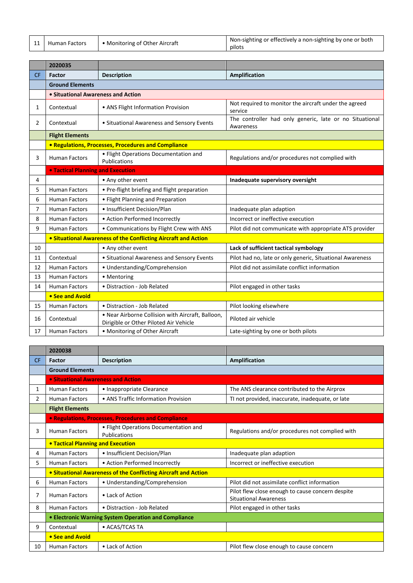| • Monitoring of Other Aircraft |  |
|--------------------------------|--|
|--------------------------------|--|

11 Human Factors • Monitoring of Other Aircraft Non-sighting or effectively a non-sighting by one or both pilots

|                | 2020035                            |                                                                                             |                                                                      |
|----------------|------------------------------------|---------------------------------------------------------------------------------------------|----------------------------------------------------------------------|
| <b>CF</b>      | <b>Factor</b>                      | <b>Description</b>                                                                          | <b>Amplification</b>                                                 |
|                | <b>Ground Elements</b>             |                                                                                             |                                                                      |
|                | • Situational Awareness and Action |                                                                                             |                                                                      |
| 1              | Contextual                         | • ANS Flight Information Provision                                                          | Not required to monitor the aircraft under the agreed<br>service     |
| $\overline{2}$ | Contextual                         | • Situational Awareness and Sensory Events                                                  | The controller had only generic, late or no Situational<br>Awareness |
|                | <b>Flight Elements</b>             |                                                                                             |                                                                      |
|                |                                    | • Regulations, Processes, Procedures and Compliance                                         |                                                                      |
| 3              | <b>Human Factors</b>               | • Flight Operations Documentation and<br>Publications                                       | Regulations and/or procedures not complied with                      |
|                | . Tactical Planning and Execution  |                                                                                             |                                                                      |
| 4              |                                    | • Any other event                                                                           | Inadequate supervisory oversight                                     |
| 5              | <b>Human Factors</b>               | • Pre-flight briefing and flight preparation                                                |                                                                      |
| 6              | <b>Human Factors</b>               | • Flight Planning and Preparation                                                           |                                                                      |
| $\overline{7}$ | <b>Human Factors</b>               | · Insufficient Decision/Plan                                                                | Inadequate plan adaption                                             |
| 8              | <b>Human Factors</b>               | • Action Performed Incorrectly                                                              | Incorrect or ineffective execution                                   |
| 9              | <b>Human Factors</b>               | • Communications by Flight Crew with ANS                                                    | Pilot did not communicate with appropriate ATS provider              |
|                |                                    | • Situational Awareness of the Conflicting Aircraft and Action                              |                                                                      |
| 10             |                                    | • Any other event                                                                           | Lack of sufficient tactical symbology                                |
| 11             | Contextual                         | • Situational Awareness and Sensory Events                                                  | Pilot had no, late or only generic, Situational Awareness            |
| 12             | <b>Human Factors</b>               | • Understanding/Comprehension                                                               | Pilot did not assimilate conflict information                        |
| 13             | <b>Human Factors</b>               | • Mentoring                                                                                 |                                                                      |
| 14             | <b>Human Factors</b>               | · Distraction - Job Related                                                                 | Pilot engaged in other tasks                                         |
|                | • See and Avoid                    |                                                                                             |                                                                      |
| 15             | <b>Human Factors</b>               | • Distraction - Job Related                                                                 | Pilot looking elsewhere                                              |
| 16             | Contextual                         | . Near Airborne Collision with Aircraft, Balloon,<br>Dirigible or Other Piloted Air Vehicle | Piloted air vehicle                                                  |
| 17             | <b>Human Factors</b>               | • Monitoring of Other Aircraft                                                              | Late-sighting by one or both pilots                                  |

|                | 2020038                                              |                                                                |                                                                                  |
|----------------|------------------------------------------------------|----------------------------------------------------------------|----------------------------------------------------------------------------------|
| <b>CF</b>      | Factor                                               | <b>Description</b>                                             | Amplification                                                                    |
|                | <b>Ground Elements</b>                               |                                                                |                                                                                  |
|                | • Situational Awareness and Action                   |                                                                |                                                                                  |
| $\mathbf{1}$   | <b>Human Factors</b>                                 | • Inappropriate Clearance                                      | The ANS clearance contributed to the Airprox                                     |
| $\overline{2}$ | <b>Human Factors</b>                                 | • ANS Traffic Information Provision                            | TI not provided, inaccurate, inadequate, or late                                 |
|                | <b>Flight Elements</b>                               |                                                                |                                                                                  |
|                |                                                      | • Regulations, Processes, Procedures and Compliance            |                                                                                  |
| 3              | <b>Human Factors</b>                                 | • Flight Operations Documentation and<br>Publications          | Regulations and/or procedures not complied with                                  |
|                | <b>• Tactical Planning and Execution</b>             |                                                                |                                                                                  |
| 4              | <b>Human Factors</b>                                 | • Insufficient Decision/Plan                                   | Inadequate plan adaption                                                         |
| 5.             | <b>Human Factors</b>                                 | • Action Performed Incorrectly                                 | Incorrect or ineffective execution                                               |
|                |                                                      | • Situational Awareness of the Conflicting Aircraft and Action |                                                                                  |
| 6              | <b>Human Factors</b>                                 | • Understanding/Comprehension                                  | Pilot did not assimilate conflict information                                    |
| 7              | <b>Human Factors</b>                                 | • Lack of Action                                               | Pilot flew close enough to cause concern despite<br><b>Situational Awareness</b> |
| 8              | <b>Human Factors</b>                                 | • Distraction - Job Related                                    | Pilot engaged in other tasks                                                     |
|                | • Electronic Warning System Operation and Compliance |                                                                |                                                                                  |
| 9              | Contextual                                           | • ACAS/TCAS TA                                                 |                                                                                  |
|                | • See and Avoid                                      |                                                                |                                                                                  |
| 10             | <b>Human Factors</b>                                 | • Lack of Action                                               | Pilot flew close enough to cause concern                                         |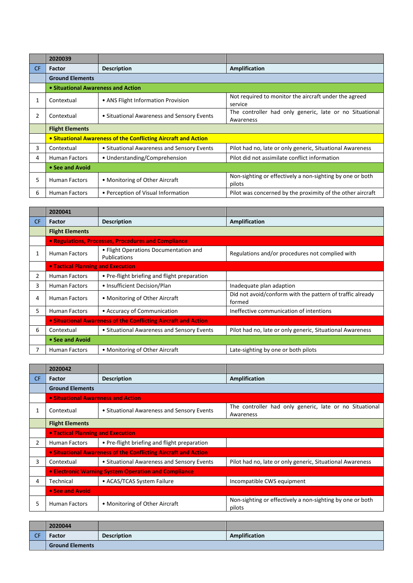|     | 2020039                            |                                                                |                                                                      |
|-----|------------------------------------|----------------------------------------------------------------|----------------------------------------------------------------------|
| CF. | Factor                             | <b>Description</b>                                             | Amplification                                                        |
|     | <b>Ground Elements</b>             |                                                                |                                                                      |
|     | • Situational Awareness and Action |                                                                |                                                                      |
| 1   | Contextual                         | • ANS Flight Information Provision                             | Not required to monitor the aircraft under the agreed<br>service     |
| 2   | Contextual                         | • Situational Awareness and Sensory Events                     | The controller had only generic, late or no Situational<br>Awareness |
|     | <b>Flight Elements</b>             |                                                                |                                                                      |
|     |                                    | • Situational Awareness of the Conflicting Aircraft and Action |                                                                      |
| 3   | Contextual                         | • Situational Awareness and Sensory Events                     | Pilot had no, late or only generic, Situational Awareness            |
| 4   | <b>Human Factors</b>               | • Understanding/Comprehension                                  | Pilot did not assimilate conflict information                        |
|     | • See and Avoid                    |                                                                |                                                                      |
| 5.  | <b>Human Factors</b>               | • Monitoring of Other Aircraft                                 | Non-sighting or effectively a non-sighting by one or both<br>pilots  |
| 6   | <b>Human Factors</b>               | • Perception of Visual Information                             | Pilot was concerned by the proximity of the other aircraft           |

|                | 2020041                                                        |                                                       |                                                                     |  |
|----------------|----------------------------------------------------------------|-------------------------------------------------------|---------------------------------------------------------------------|--|
| CF             | <b>Factor</b>                                                  | <b>Description</b>                                    | Amplification                                                       |  |
|                | <b>Flight Elements</b>                                         |                                                       |                                                                     |  |
|                |                                                                | • Regulations, Processes, Procedures and Compliance   |                                                                     |  |
| 1              | <b>Human Factors</b>                                           | • Flight Operations Documentation and<br>Publications | Regulations and/or procedures not complied with                     |  |
|                | • Tactical Planning and Execution                              |                                                       |                                                                     |  |
| $\overline{2}$ | <b>Human Factors</b>                                           | • Pre-flight briefing and flight preparation          |                                                                     |  |
| 3              | <b>Human Factors</b>                                           | • Insufficient Decision/Plan                          | Inadequate plan adaption                                            |  |
| 4              | <b>Human Factors</b>                                           | • Monitoring of Other Aircraft                        | Did not avoid/conform with the pattern of traffic already<br>formed |  |
| 5.             | <b>Human Factors</b>                                           | • Accuracy of Communication                           | Ineffective communication of intentions                             |  |
|                | • Situational Awareness of the Conflicting Aircraft and Action |                                                       |                                                                     |  |
| 6              | Contextual                                                     | • Situational Awareness and Sensory Events            | Pilot had no, late or only generic, Situational Awareness           |  |
|                | • See and Avoid                                                |                                                       |                                                                     |  |
|                | <b>Human Factors</b>                                           | • Monitoring of Other Aircraft                        | Late-sighting by one or both pilots                                 |  |

|           | 2020042                            |                                                                |                                                                      |
|-----------|------------------------------------|----------------------------------------------------------------|----------------------------------------------------------------------|
| <b>CF</b> | Factor                             | <b>Description</b>                                             | Amplification                                                        |
|           | <b>Ground Elements</b>             |                                                                |                                                                      |
|           | . Situational Awareness and Action |                                                                |                                                                      |
|           | Contextual                         | • Situational Awareness and Sensory Events                     | The controller had only generic, late or no Situational<br>Awareness |
|           | <b>Flight Elements</b>             |                                                                |                                                                      |
|           | • Tactical Planning and Execution  |                                                                |                                                                      |
| 2         | <b>Human Factors</b>               | • Pre-flight briefing and flight preparation                   |                                                                      |
|           |                                    | • Situational Awareness of the Conflicting Aircraft and Action |                                                                      |
| 3         | Contextual                         | • Situational Awareness and Sensory Events                     | Pilot had no, late or only generic, Situational Awareness            |
|           |                                    | • Electronic Warning System Operation and Compliance           |                                                                      |
| 4         | Technical                          | • ACAS/TCAS System Failure                                     | Incompatible CWS equipment                                           |
|           | • See and Avoid                    |                                                                |                                                                      |
| 5         | <b>Human Factors</b>               | • Monitoring of Other Aircraft                                 | Non-sighting or effectively a non-sighting by one or both<br>pilots  |

|            | 2020044                |                    |               |
|------------|------------------------|--------------------|---------------|
| $\sqrt{C}$ | <b>Factor</b>          | <b>Description</b> | Amplification |
|            | <b>Ground Elements</b> |                    |               |